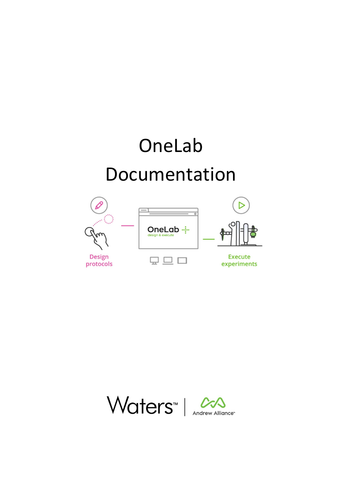# OneLab Documentation





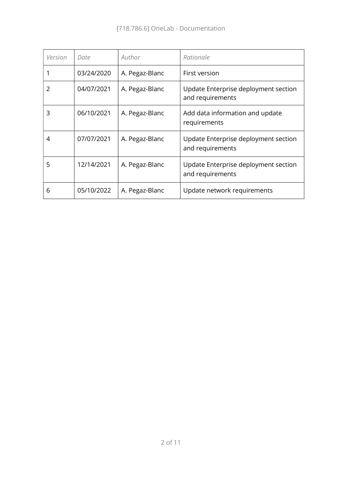| Version | Date       | Author         | Rationale                                                |
|---------|------------|----------------|----------------------------------------------------------|
|         | 03/24/2020 | A. Pegaz-Blanc | First version                                            |
| 2       | 04/07/2021 | A. Pegaz-Blanc | Update Enterprise deployment section<br>and requirements |
| 3       | 06/10/2021 | A. Pegaz-Blanc | Add data information and update<br>requirements          |
| 4       | 07/07/2021 | A. Pegaz-Blanc | Update Enterprise deployment section<br>and requirements |
| 5       | 12/14/2021 | A. Pegaz-Blanc | Update Enterprise deployment section<br>and requirements |
| 6       | 05/10/2022 | A. Pegaz-Blanc | Update network requirements                              |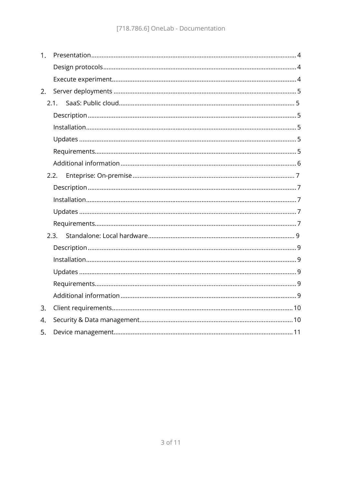| 1 <sub>1</sub> |      |
|----------------|------|
|                |      |
|                |      |
| 2.             |      |
|                | 2.1. |
|                |      |
|                |      |
|                |      |
|                |      |
|                |      |
|                | 2.2. |
|                |      |
|                |      |
|                |      |
|                |      |
|                | 2.3. |
|                |      |
|                |      |
|                |      |
|                |      |
|                |      |
| 3.             |      |
| 4.             |      |
| 5.             |      |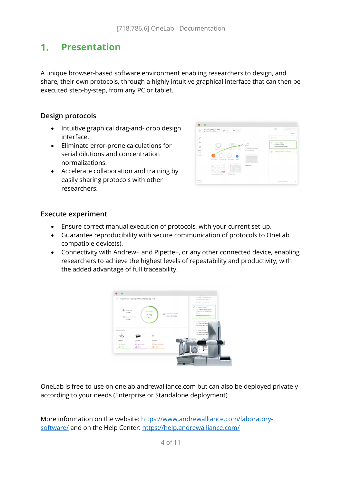#### Presentation  $1<sup>1</sup>$

A unique browser-based software environment enabling researchers to design, and share, their own protocols, through a highly intuitive graphical interface that can then be executed step-by-step, from any PC or tablet.

#### Design protocols

- Intuitive graphical drag-and- drop design interface.
- Eliminate error-prone calculations for serial dilutions and concentration normalizations.
- Accelerate collaboration and training by easily sharing protocols with other researchers.

| ÷                           | Aliquot to uPCR plate - FINAL<br>$D$ $I$ | $m = m$                              |                          |   | <b>STEPS</b>                                                           | LABARAT INFO                |               |  |
|-----------------------------|------------------------------------------|--------------------------------------|--------------------------|---|------------------------------------------------------------------------|-----------------------------|---------------|--|
| <b>D</b> Primiuma PLEVA 736 |                                          |                                      |                          |   |                                                                        |                             |               |  |
| ∕                           |                                          |                                      |                          |   | C 6 furt                                                               |                             |               |  |
| ۰<br>CS.                    | Naplestherd Cra Mat                      | <b>Russianistical Englisher 2</b>    | 4.5 et sone car recruite | x | 1. Draperse 10 pt.<br>from Shed, tube #2<br>to famplate plate, well At |                             | 1             |  |
| Actions<br>G<br>__          | 50 mil. Fullet<br>32 mil. bufur #2       | STACKARRY Tube A.                    | act renauto cor          |   |                                                                        | @ 2.6st transmitturance her | $\rightarrow$ |  |
|                             | fixed time cutter plan                   | -----------<br><b>Sematian atala</b> | <b>Std and plate</b>     |   |                                                                        |                             |               |  |
| <b>STATE</b>                |                                          |                                      |                          |   |                                                                        | 22 paymage, 100 ture        |               |  |

#### Execute experiment

- Ensure correct manual execution of protocols, with your current set-up.
- Guarantee reproducibility with secure communication of protocols to OneLab compatible device(s).
- Connectivity with Andrew+ and Pipette+, or any other connected device, enabling researchers to achieve the highest levels of repeatability and productivity, with the added advantage of full traceability.



OneLab is free-to-use on onelab.andrewalliance.com but can also be deployed privately according to your needs (Enterprise or Standalone deployment)

More information on the website: https://www.andrewalliance.com/laboratorysoftware/ and on the Help Center: https://help.andrewalliance.com/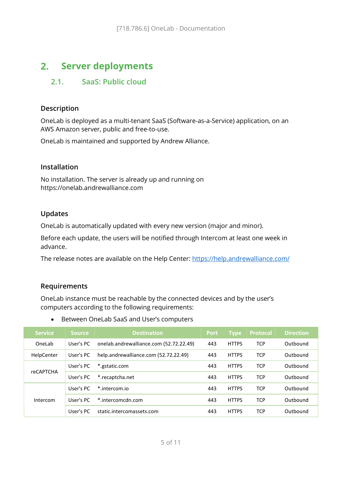#### Server deployments  $2.$

## 2.1. SaaS: Public cloud

#### Description

OneLab is deployed as a multi-tenant SaaS (Software-as-a-Service) application, on an AWS Amazon server, public and free-to-use.

OneLab is maintained and supported by Andrew Alliance.

#### Installation

No installation. The server is already up and running on https://onelab.andrewalliance.com

#### Updates

OneLab is automatically updated with every new version (major and minor).

Before each update, the users will be notified through Intercom at least one week in advance.

The release notes are available on the Help Center: https://help.andrewalliance.com/

#### Requirements

OneLab instance must be reachable by the connected devices and by the user's computers according to the following requirements:

| <b>Service</b>   | <b>Source</b> | <b>Destination</b>                      | <b>Port</b> | <b>Type</b>  | <b>Protocol</b> | <b>Direction</b> |
|------------------|---------------|-----------------------------------------|-------------|--------------|-----------------|------------------|
| OneLab           | User's PC     | onelab.andrewalliance.com (52.72.22.49) | 443         | <b>HTTPS</b> | <b>TCP</b>      | Outbound         |
| HelpCenter       | User's PC     | help.andrewalliance.com (52.72.22.49)   | 443         | <b>HTTPS</b> | <b>TCP</b>      | Outbound         |
|                  | User's PC     | *.gstatic.com                           | 443         | <b>HTTPS</b> | <b>TCP</b>      | Outbound         |
| <b>reCAPTCHA</b> | User's PC     | *.recaptcha.net                         | 443         | <b>HTTPS</b> | <b>TCP</b>      | Outhound         |
| Intercom         | User's PC     | *.intercom.io                           | 443         | <b>HTTPS</b> | <b>TCP</b>      | Outbound         |
|                  | User's PC     | *.intercomcdn.com                       | 443         | <b>HTTPS</b> | <b>TCP</b>      | Outbound         |
|                  | User's PC     | static.intercomassets.com               | 443         | <b>HTTPS</b> | <b>TCP</b>      | Outbound         |

Between OneLab SaaS and User's computers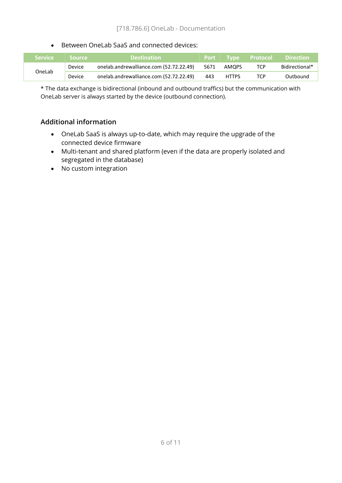#### • Between OneLab SaaS and connected devices:

| <b>Service</b> | <b>Source</b> | <b>Destination</b>                      |      |              | <b>Port Type Protocol</b> | <b>Direction</b> |
|----------------|---------------|-----------------------------------------|------|--------------|---------------------------|------------------|
| OneLab         | Device        | onelab.andrewalliance.com (52.72.22.49) | 5671 | AMOPS        | <b>TCP</b>                | Bidirectional*   |
|                | Device        | onelab.andrewalliance.com (52.72.22.49) | 443  | <b>HTTPS</b> | TCP                       | Outbound         |

\* The data exchange is bidirectional (inbound and outbound traffics) but the communication with OneLab server is always started by the device (outbound connection).

#### Additional information

- OneLab SaaS is always up-to-date, which may require the upgrade of the connected device firmware
- Multi-tenant and shared platform (even if the data are properly isolated and segregated in the database)
- No custom integration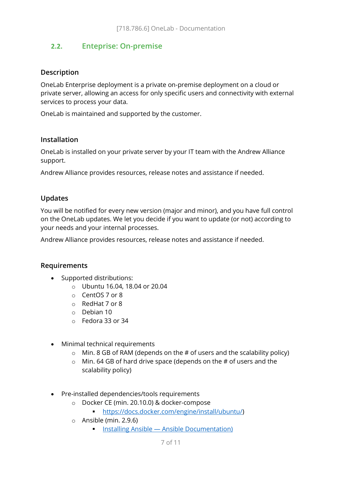### 2.2. Enteprise: On-premise

#### Description

OneLab Enterprise deployment is a private on-premise deployment on a cloud or private server, allowing an access for only specific users and connectivity with external services to process your data.

OneLab is maintained and supported by the customer.

#### Installation

OneLab is installed on your private server by your IT team with the Andrew Alliance support.

Andrew Alliance provides resources, release notes and assistance if needed.

#### Updates

You will be notified for every new version (major and minor), and you have full control on the OneLab updates. We let you decide if you want to update (or not) according to your needs and your internal processes.

Andrew Alliance provides resources, release notes and assistance if needed.

#### Requirements

- Supported distributions:
	- o Ubuntu 16.04, 18.04 or 20.04
	- o CentOS 7 or 8
	- o RedHat 7 or 8
	- o Debian 10
	- o Fedora 33 or 34
- Minimal technical requirements
	- $\circ$  Min. 8 GB of RAM (depends on the # of users and the scalability policy)
	- $\circ$  Min. 64 GB of hard drive space (depends on the # of users and the scalability policy)
- Pre-installed dependencies/tools requirements
	- o Docker CE (min. 20.10.0) & docker-compose
		- https://docs.docker.com/engine/install/ubuntu/)
	- o Ansible (min. 2.9.6)
		- **Installing Ansible Ansible Documentation**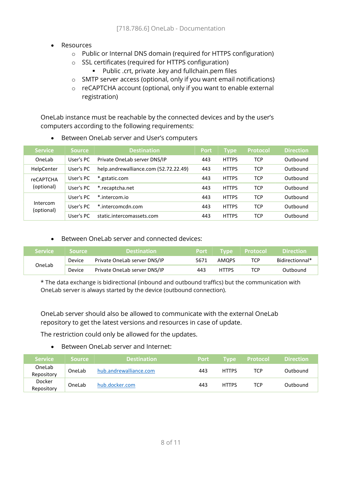- Resources
	- o Public or Internal DNS domain (required for HTTPS configuration)
	- o SSL certificates (required for HTTPS configuration)
		- Public .crt, private .key and fullchain.pem files
	- o SMTP server access (optional, only if you want email notifications)
	- o reCAPTCHA account (optional, only if you want to enable external registration)

OneLab instance must be reachable by the connected devices and by the user's computers according to the following requirements:

| <b>Service</b>         | <b>Source</b> | <b>Destination</b>                    | <b>Port</b> | <b>Type</b>  | <b>Protocol</b> | <b>Direction</b> |
|------------------------|---------------|---------------------------------------|-------------|--------------|-----------------|------------------|
| OneLab                 | User's PC     | Private OneLab server DNS/IP          | 443         | <b>HTTPS</b> | <b>TCP</b>      | Outbound         |
| HelpCenter             | User's PC     | help.andrewalliance.com (52.72.22.49) | 443         | <b>HTTPS</b> | <b>TCP</b>      | Outhound         |
| <b>reCAPTCHA</b>       | User's PC     | *.gstatic.com                         | 443         | <b>HTTPS</b> | <b>TCP</b>      | Outbound         |
| (optional)             | User's PC     | *.recaptcha.net                       | 443         | <b>HTTPS</b> | <b>TCP</b>      | Outbound         |
|                        | User's PC     | *.intercom.io                         | 443         | <b>HTTPS</b> | <b>TCP</b>      | Outbound         |
| Intercom<br>(optional) | User's PC     | *.intercomcdn.com                     | 443         | <b>HTTPS</b> | <b>TCP</b>      | Outbound         |
|                        | User's PC     | static.intercomassets.com             | 443         | <b>HTTPS</b> | TCP             | Outbound         |

• Between OneLab server and User's computers

#### • Between Onel ab server and connected devices:

| Service | Source        | <b>Destination</b>           | Port | <b>Type</b>  | <b>Protocol</b> | <b>Direction</b> |
|---------|---------------|------------------------------|------|--------------|-----------------|------------------|
| OneLab  | <b>Device</b> | Private OneLab server DNS/IP | 5671 | AMOPS        | TCP             | Bidirectionnal*  |
|         | Device        | Private OneLab server DNS/IP | 443  | <b>HTTPS</b> | TCP             | Outbound         |

\* The data exchange is bidirectional (inbound and outbound traffics) but the communication with OneLab server is always started by the device (outbound connection).

OneLab server should also be allowed to communicate with the external OneLab repository to get the latest versions and resources in case of update.

The restriction could only be allowed for the updates.

• Between Onel ab server and Internet:

| <b>Service</b>       | <b>Source</b> | <b>Destination</b>     | <b>Port</b> | <b>Tvpe</b>  | <b>Protocol</b> | <b>Direction</b> |
|----------------------|---------------|------------------------|-------------|--------------|-----------------|------------------|
| OneLab<br>Repository | OneLab        | hub.andrewalliance.com | 443         | <b>HTTPS</b> | TCP             | Outbound         |
| Docker<br>Repository | OneLab        | hub.docker.com         | 443         | <b>HTTPS</b> | TCP             | Outbound         |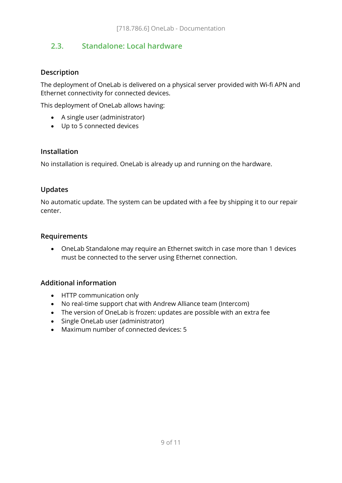## 2.3. Standalone: Local hardware

#### Description

The deployment of OneLab is delivered on a physical server provided with Wi-fi APN and Ethernet connectivity for connected devices.

This deployment of OneLab allows having:

- A single user (administrator)
- Up to 5 connected devices

#### Installation

No installation is required. OneLab is already up and running on the hardware.

#### Updates

No automatic update. The system can be updated with a fee by shipping it to our repair center.

#### Requirements

 OneLab Standalone may require an Ethernet switch in case more than 1 devices must be connected to the server using Ethernet connection.

#### Additional information

- HTTP communication only
- No real-time support chat with Andrew Alliance team (Intercom)
- The version of OneLab is frozen: updates are possible with an extra fee
- Single OneLab user (administrator)
- Maximum number of connected devices: 5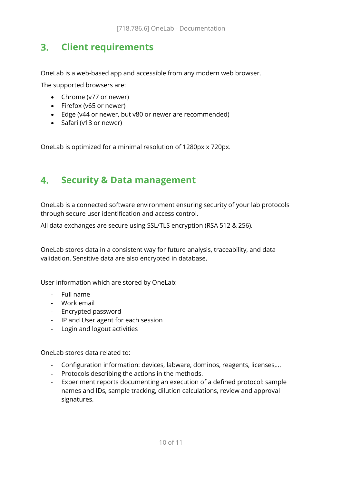# 3. Client requirements

OneLab is a web-based app and accessible from any modern web browser.

The supported browsers are:

- Chrome (v77 or newer)
- Firefox (v65 or newer)
- Edge (v44 or newer, but v80 or newer are recommended)
- Safari (v13 or newer)

OneLab is optimized for a minimal resolution of 1280px x 720px.

#### $\mathbf{4}$ Security & Data management

OneLab is a connected software environment ensuring security of your lab protocols through secure user identification and access control.

All data exchanges are secure using SSL/TLS encryption (RSA 512 & 256).

OneLab stores data in a consistent way for future analysis, traceability, and data validation. Sensitive data are also encrypted in database.

User information which are stored by OneLab:

- Full name
- Work email
- Encrypted password
- IP and User agent for each session
- Login and logout activities

OneLab stores data related to:

- Configuration information: devices, labware, dominos, reagents, licenses,...
- Protocols describing the actions in the methods.
- Experiment reports documenting an execution of a defined protocol: sample names and IDs, sample tracking, dilution calculations, review and approval signatures.